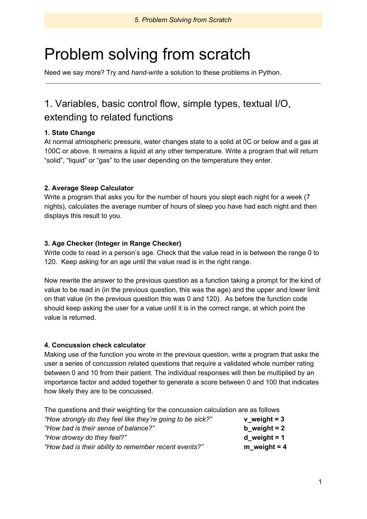# Problem solving from scratch

Need we say more? Try and *hand-write* a solution to these problems in Python.

# 1. Variables, basic control flow, simple types, textual I/O, extending to related functions

## **1. State Change**

At normal atmospheric pressure, water changes state to a solid at 0C or below and a gas at 100C or above. It remains a liquid at any other temperature. Write a program that will return "solid", "liquid" or "gas" to the user depending on the temperature they enter.

## **2. Average Sleep Calculator**

Write a program that asks you for the number of hours you slept each night for a week (7 nights), calculates the average number of hours of sleep you have had each night and then displays this result to you.

## **3. Age Checker (Integer in Range Checker)**

Write code to read in a person's age. Check that the value read in is between the range 0 to 120. Keep asking for an age until the value read is in the right range.

Now rewrite the answer to the previous question as a function taking a prompt for the kind of value to be read in (in the previous question, this was the age) and the upper and lower limit on that value (in the previous question this was 0 and 120). As before the function code should keep asking the user for a value until it is in the correct range, at which point the value is returned.

## **4. Concussion check calculator**

Making use of the function you wrote in the previous question, write a program that asks the user a series of concussion related questions that require a validated whole number rating between 0 and 10 from their patient. The individual responses will then be multiplied by an importance factor and added together to generate a score between 0 and 100 that indicates how likely they are to be concussed.

| The questions and their weighting for the concussion calculation are as follows |                |  |
|---------------------------------------------------------------------------------|----------------|--|
| "How strongly do they feel like they're going to be sick?"                      | $v$ weight = 3 |  |
| "How bad is their sense of balance?"                                            | b weight $= 2$ |  |
| "How drowsy do they feel?"                                                      | d weight $= 1$ |  |
| "How bad is their ability to remember recent events?"                           | $m$ weight = 4 |  |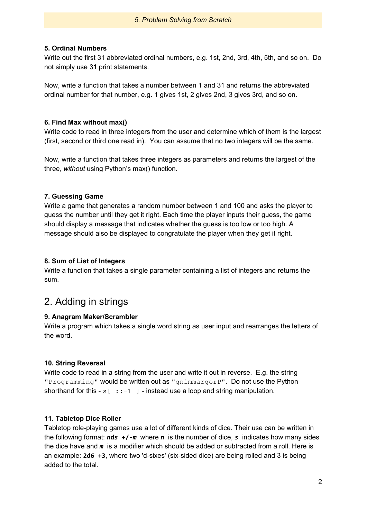#### *5. Problem Solving from Scratch*

#### **5. Ordinal Numbers**

Write out the first 31 abbreviated ordinal numbers, e.g. 1st, 2nd, 3rd, 4th, 5th, and so on. Do not simply use 31 print statements.

Now, write a function that takes a number between 1 and 31 and returns the abbreviated ordinal number for that number, e.g. 1 gives 1st, 2 gives 2nd, 3 gives 3rd, and so on.

#### **6. Find Max without max()**

Write code to read in three integers from the user and determine which of them is the largest (first, second or third one read in). You can assume that no two integers will be the same.

Now, write a function that takes three integers as parameters and returns the largest of the three, *without* using Python's max() function.

## **7. Guessing Game**

Write a game that generates a random number between 1 and 100 and asks the player to guess the number until they get it right. Each time the player inputs their guess, the game should display a message that indicates whether the guess is too low or too high. A message should also be displayed to congratulate the player when they get it right.

#### **8. Sum of List of Integers**

Write a function that takes a single parameter containing a list of integers and returns the sum.

# 2. Adding in strings

## **9. Anagram Maker/Scrambler**

Write a program which takes a single word string as user input and rearranges the letters of the word.

## **10. String Reversal**

Write code to read in a string from the user and write it out in reverse. E.g. the string "Programming" would be written out as "gnimmargorP". Do not use the Python shorthand for this  $-s$   $[ \cdot : -1 ]$  - instead use a loop and string manipulation.

## **11. Tabletop Dice Roller**

Tabletop role-playing games use a lot of different kinds of dice. Their use can be written in the following format: *n***d***s* **+/-***m* where *n* is the number of dice, *s* indicates how many sides the dice have and *m* is a modifier which should be added or subtracted from a roll. Here is an example: **2d6 +3**, where two 'd-sixes' (six-sided dice) are being rolled and 3 is being added to the total.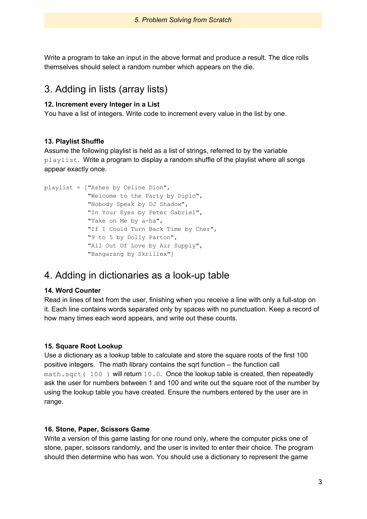Write a program to take an input in the above format and produce a result. The dice rolls themselves should select a random number which appears on the die.

# 3. Adding in lists (array lists)

#### **12. Increment every Integer in a List**

You have a list of integers. Write code to increment every value in the list by one.

#### **13. Playlist Shuffle**

Assume the following playlist is held as a list of strings, referred to by the variable playlist. Write a program to display a random shuffle of the playlist where all songs appear exactly once.

```
playlist = ["Ashes by Celine Dion",
            "Welcome to the Party by Diplo",
            "Nobody Speak by DJ Shadow",
            "In Your Eyes by Peter Gabriel",
            "Take on Me by a-ha",
            "If I Could Turn Back Time by Cher",
            "9 to 5 by Dolly Parton",
            "All Out Of Love by Air Supply",
            "Bangarang by Skrillex"]
```
# 4. Adding in dictionaries as a look-up table

## **14. Word Counter**

Read in lines of text from the user, finishing when you receive a line with only a full-stop on it. Each line contains words separated only by spaces with no punctuation. Keep a record of how many times each word appears, and write out these counts.

#### **15. Square Root Lookup**

Use a dictionary as a lookup table to calculate and store the square roots of the first 100 positive integers. The math library contains the sqrt function – the function call math.sqrt( 100) will return 10.0. Once the lookup table is created, then repeatedly ask the user for numbers between 1 and 100 and write out the square root of the number by using the lookup table you have created. Ensure the numbers entered by the user are in range.

#### **16. Stone, Paper, Scissors Game**

Write a version of this game lasting for one round only, where the computer picks one of stone, paper, scissors randomly, and the user is invited to enter their choice. The program should then determine who has won. You should use a dictionary to represent the game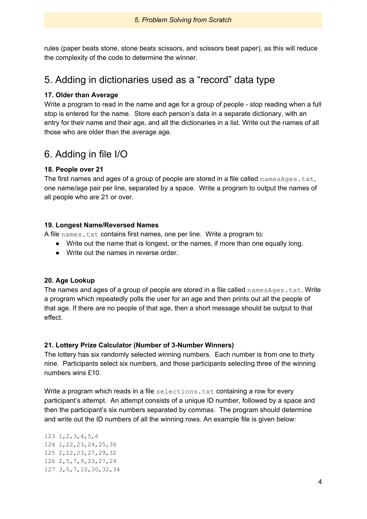rules (paper beats stone, stone beats scissors, and scissors beat paper), as this will reduce the complexity of the code to determine the winner.

# 5. Adding in dictionaries used as a "record" data type

## **17. Older than Average**

Write a program to read in the name and age for a group of people - stop reading when a full stop is entered for the name. Store each person's data in a separate dictionary, with an entry for their name and their age, and all the dictionaries in a list. Write out the names of all those who are older than the average age.

# 6. Adding in file I/O

## **18. People over 21**

The first names and ages of a group of people are stored in a file called namesAges.txt, one name/age pair per line, separated by a space. Write a program to output the names of all people who are 21 or over.

## **19. Longest Name/Reversed Names**

A file names.txt contains first names, one per line. Write a program to:

- Write out the name that is longest, or the names, if more than one equally long.
- Write out the names in reverse order.

## **20. Age Lookup**

The names and ages of a group of people are stored in a file called namesAges.txt. Write a program which repeatedly polls the user for an age and then prints out all the people of that age. If there are no people of that age, then a short message should be output to that effect.

## **21. Lottery Prize Calculator (Number of 3-Number Winners)**

The lottery has six randomly selected winning numbers. Each number is from one to thirty nine. Participants select six numbers, and those participants selecting three of the winning numbers wins £10.

Write a program which reads in a file selections. txt containing a row for every participant's attempt. An attempt consists of a unique ID number, followed by a space and then the participant's six numbers separated by commas. The program should determine and write out the ID numbers of all the winning rows. An example file is given below:

 1,2,3,4,5,6 1,22,23,24,25,36 2,22,23,27,29,32 2,5,7,9,23,27,29 3,5,7,10,30,32,34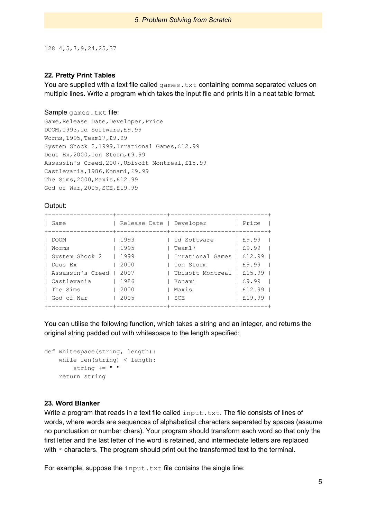128 4,5,7,9,24,25,37

#### **22. Pretty Print Tables**

You are supplied with a text file called  $qames.txt$  containing comma separated values on multiple lines. Write a program which takes the input file and prints it in a neat table format.

#### Sample games.txt file:

```
Game, Release Date, Developer, Price
DOOM,1993,id Software,£9.99
Worms,1995,Team17,£9.99
System Shock 2,1999,Irrational Games,£12.99
Deus Ex,2000,Ion Storm,£9.99
Assassin's Creed,2007,Ubisoft Montreal,£15.99
Castlevania,1986,Konami,£9.99
The Sims,2000,Maxis,£12.99
God of War,2005,SCE,£19.99
```
#### Output:

| Game             | Release Date   Developer | -----------+------------------+-------+                                                                         | Price      |
|------------------|--------------------------|-----------------------------------------------------------------------------------------------------------------|------------|
| I DOOM           | 1993                     | id Software 1 £9.99                                                                                             |            |
| Worms            | 1995                     | Team17 and the monomer state of the set of the set of the set of the set of the set of the set of the set of th | $\pm 9.99$ |
| System Shock 2   | 1999                     | Irrational Games   £12.99                                                                                       |            |
| Deus Ex          | 2000                     | Ion Storm                                                                                                       | LE9.99     |
| Assassin's Creed | 2007                     | Ubisoft Montreal   £15.99                                                                                       |            |
| l Castlevania    | 1986                     | Konami                                                                                                          | $ $ £9.99  |
| The Sims         | 2000                     | Maxis                                                                                                           | E12.99     |
| God of War       | 2005                     | SCE                                                                                                             | £19.99     |
|                  |                          |                                                                                                                 |            |

You can utilise the following function, which takes a string and an integer, and returns the original string padded out with whitespace to the length specified:

```
def whitespace(string, length):
   while len(string) < length:
       string += " "
    return string
```
#### **23. Word Blanker**

Write a program that reads in a text file called input.txt. The file consists of lines of words, where words are sequences of alphabetical characters separated by spaces (assume no punctuation or number chars). Your program should transform each word so that only the first letter and the last letter of the word is retained, and intermediate letters are replaced with  $*$  characters. The program should print out the transformed text to the terminal.

For example, suppose the input.txt file contains the single line: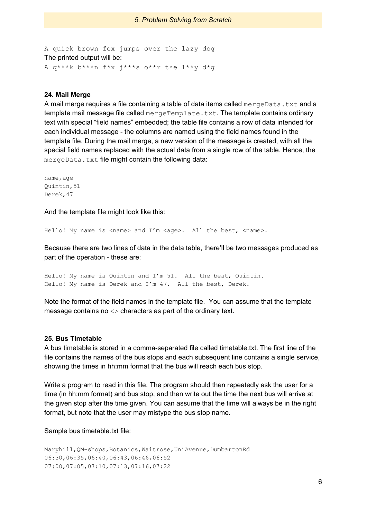A quick brown fox jumps over the lazy dog The printed output will be: A q\*\*\*k b\*\*\*n f\*x j\*\*\*s o\*\*r t\*e l\*\*y d\*g

#### **24. Mail Merge**

A mail merge requires a file containing a table of data items called  $\text{mergeData.txt}$  and a template mail message file called  $mergeremplate.txt$ . The template contains ordinary text with special "field names" embedded; the table file contains a row of data intended for each individual message - the columns are named using the field names found in the template file. During the mail merge, a new version of the message is created, with all the special field names replaced with the actual data from a single row of the table. Hence, the mergeData.txt file might contain the following data:

```
name, age
Quintin,51
Derek,47
```
And the template file might look like this:

Hello! My name is  $\langle$  name> and I'm  $\langle$  age>. All the best,  $\langle$  name>.

Because there are two lines of data in the data table, there'll be two messages produced as part of the operation - these are:

Hello! My name is Quintin and I'm 51. All the best, Quintin. Hello! My name is Derek and I'm 47. All the best, Derek.

Note the format of the field names in the template file. You can assume that the template message contains no <> characters as part of the ordinary text.

#### **25. Bus Timetable**

A bus timetable is stored in a comma-separated file called timetable.txt. The first line of the file contains the names of the bus stops and each subsequent line contains a single service, showing the times in hh:mm format that the bus will reach each bus stop.

Write a program to read in this file. The program should then repeatedly ask the user for a time (in hh:mm format) and bus stop, and then write out the time the next bus will arrive at the given stop after the time given. You can assume that the time will always be in the right format, but note that the user may mistype the bus stop name.

Sample bus timetable.txt file:

Maryhill, QM-shops, Botanics, Waitrose, UniAvenue, DumbartonRd 06:30,06:35,06:40,06:43,06:46,06:52 07:00,07:05,07:10,07:13,07:16,07:22